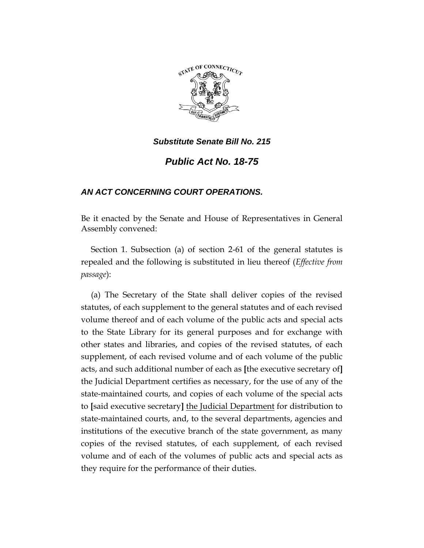

# *Public Act No. 18-75*

# *AN ACT CONCERNING COURT OPERATIONS.*

Be it enacted by the Senate and House of Representatives in General Assembly convened:

Section 1. Subsection (a) of section 2-61 of the general statutes is repealed and the following is substituted in lieu thereof (*Effective from passage*):

(a) The Secretary of the State shall deliver copies of the revised statutes, of each supplement to the general statutes and of each revised volume thereof and of each volume of the public acts and special acts to the State Library for its general purposes and for exchange with other states and libraries, and copies of the revised statutes, of each supplement, of each revised volume and of each volume of the public acts, and such additional number of each as **[**the executive secretary of**]** the Judicial Department certifies as necessary, for the use of any of the state-maintained courts, and copies of each volume of the special acts to **[**said executive secretary**]** the Judicial Department for distribution to state-maintained courts, and, to the several departments, agencies and institutions of the executive branch of the state government, as many copies of the revised statutes, of each supplement, of each revised volume and of each of the volumes of public acts and special acts as they require for the performance of their duties.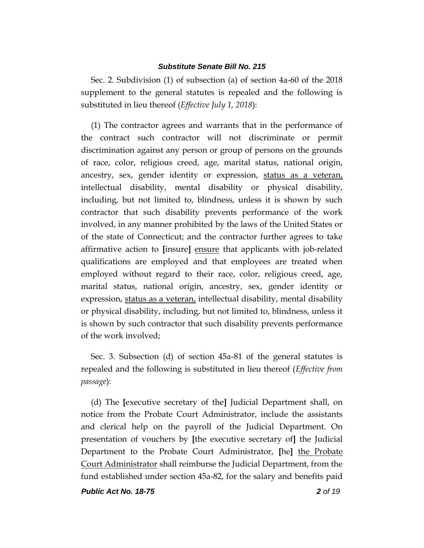Sec. 2. Subdivision (1) of subsection (a) of section 4a-60 of the 2018 supplement to the general statutes is repealed and the following is substituted in lieu thereof (*Effective July 1, 2018*):

(1) The contractor agrees and warrants that in the performance of the contract such contractor will not discriminate or permit discrimination against any person or group of persons on the grounds of race, color, religious creed, age, marital status, national origin, ancestry, sex, gender identity or expression, status as a veteran, intellectual disability, mental disability or physical disability, including, but not limited to, blindness, unless it is shown by such contractor that such disability prevents performance of the work involved, in any manner prohibited by the laws of the United States or of the state of Connecticut; and the contractor further agrees to take affirmative action to **[**insure**]** ensure that applicants with job-related qualifications are employed and that employees are treated when employed without regard to their race, color, religious creed, age, marital status, national origin, ancestry, sex, gender identity or expression, status as a veteran, intellectual disability, mental disability or physical disability, including, but not limited to, blindness, unless it is shown by such contractor that such disability prevents performance of the work involved;

Sec. 3. Subsection (d) of section 45a-81 of the general statutes is repealed and the following is substituted in lieu thereof (*Effective from passage*):

(d) The **[**executive secretary of the**]** Judicial Department shall, on notice from the Probate Court Administrator, include the assistants and clerical help on the payroll of the Judicial Department. On presentation of vouchers by **[**the executive secretary of**]** the Judicial Department to the Probate Court Administrator, **[**he**]** the Probate Court Administrator shall reimburse the Judicial Department, from the fund established under section 45a-82, for the salary and benefits paid

*Public Act No. 18-75 2 of 19*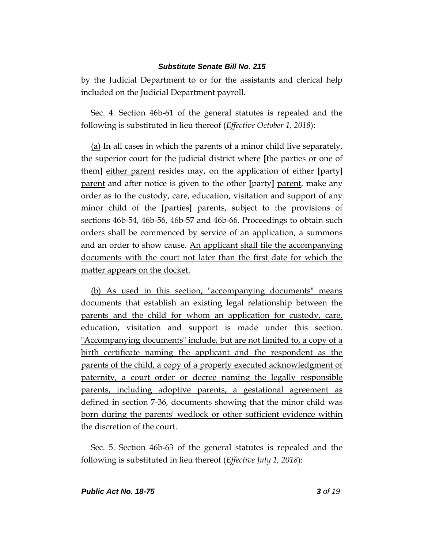by the Judicial Department to or for the assistants and clerical help included on the Judicial Department payroll.

Sec. 4. Section 46b-61 of the general statutes is repealed and the following is substituted in lieu thereof (*Effective October 1, 2018*):

(a) In all cases in which the parents of a minor child live separately, the superior court for the judicial district where **[**the parties or one of them**]** either parent resides may, on the application of either **[**party**]** parent and after notice is given to the other **[**party**]** parent, make any order as to the custody, care, education, visitation and support of any minor child of the **[**parties**]** parents, subject to the provisions of sections 46b-54, 46b-56, 46b-57 and 46b-66. Proceedings to obtain such orders shall be commenced by service of an application, a summons and an order to show cause. An applicant shall file the accompanying documents with the court not later than the first date for which the matter appears on the docket.

(b) As used in this section, "accompanying documents" means documents that establish an existing legal relationship between the parents and the child for whom an application for custody, care, education, visitation and support is made under this section. "Accompanying documents" include, but are not limited to, a copy of a birth certificate naming the applicant and the respondent as the parents of the child, a copy of a properly executed acknowledgment of paternity, a court order or decree naming the legally responsible parents, including adoptive parents, a gestational agreement as defined in section 7-36, documents showing that the minor child was born during the parents' wedlock or other sufficient evidence within the discretion of the court.

Sec. 5. Section 46b-63 of the general statutes is repealed and the following is substituted in lieu thereof (*Effective July 1, 2018*):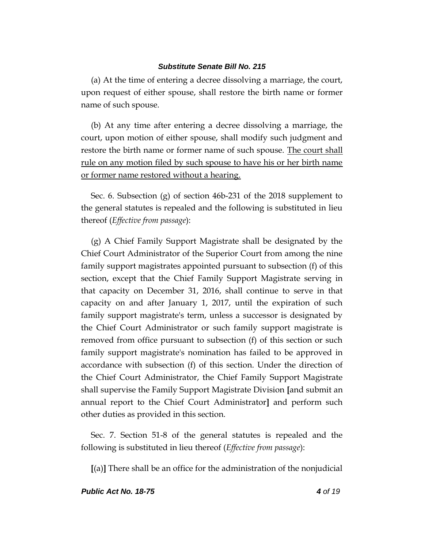(a) At the time of entering a decree dissolving a marriage, the court, upon request of either spouse, shall restore the birth name or former name of such spouse.

(b) At any time after entering a decree dissolving a marriage, the court, upon motion of either spouse, shall modify such judgment and restore the birth name or former name of such spouse. The court shall rule on any motion filed by such spouse to have his or her birth name or former name restored without a hearing.

Sec. 6. Subsection (g) of section 46b-231 of the 2018 supplement to the general statutes is repealed and the following is substituted in lieu thereof (*Effective from passage*):

(g) A Chief Family Support Magistrate shall be designated by the Chief Court Administrator of the Superior Court from among the nine family support magistrates appointed pursuant to subsection (f) of this section, except that the Chief Family Support Magistrate serving in that capacity on December 31, 2016, shall continue to serve in that capacity on and after January 1, 2017, until the expiration of such family support magistrate's term, unless a successor is designated by the Chief Court Administrator or such family support magistrate is removed from office pursuant to subsection (f) of this section or such family support magistrate's nomination has failed to be approved in accordance with subsection (f) of this section. Under the direction of the Chief Court Administrator, the Chief Family Support Magistrate shall supervise the Family Support Magistrate Division **[**and submit an annual report to the Chief Court Administrator**]** and perform such other duties as provided in this section.

Sec. 7. Section 51-8 of the general statutes is repealed and the following is substituted in lieu thereof (*Effective from passage*):

**[**(a)**]** There shall be an office for the administration of the nonjudicial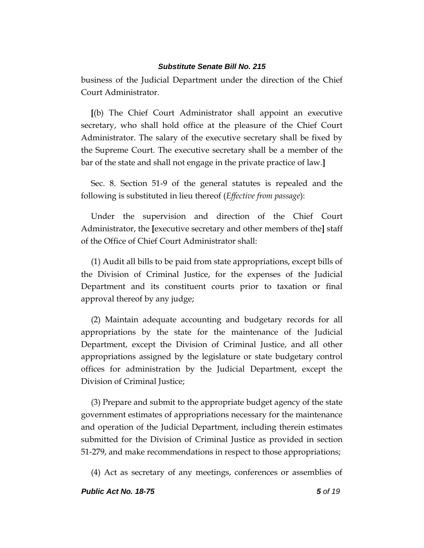business of the Judicial Department under the direction of the Chief Court Administrator.

**[**(b) The Chief Court Administrator shall appoint an executive secretary, who shall hold office at the pleasure of the Chief Court Administrator. The salary of the executive secretary shall be fixed by the Supreme Court. The executive secretary shall be a member of the bar of the state and shall not engage in the private practice of law.**]**

Sec. 8. Section 51-9 of the general statutes is repealed and the following is substituted in lieu thereof (*Effective from passage*):

Under the supervision and direction of the Chief Court Administrator, the **[**executive secretary and other members of the**]** staff of the Office of Chief Court Administrator shall:

(1) Audit all bills to be paid from state appropriations, except bills of the Division of Criminal Justice, for the expenses of the Judicial Department and its constituent courts prior to taxation or final approval thereof by any judge;

(2) Maintain adequate accounting and budgetary records for all appropriations by the state for the maintenance of the Judicial Department, except the Division of Criminal Justice, and all other appropriations assigned by the legislature or state budgetary control offices for administration by the Judicial Department, except the Division of Criminal Justice;

(3) Prepare and submit to the appropriate budget agency of the state government estimates of appropriations necessary for the maintenance and operation of the Judicial Department, including therein estimates submitted for the Division of Criminal Justice as provided in section 51-279, and make recommendations in respect to those appropriations;

(4) Act as secretary of any meetings, conferences or assemblies of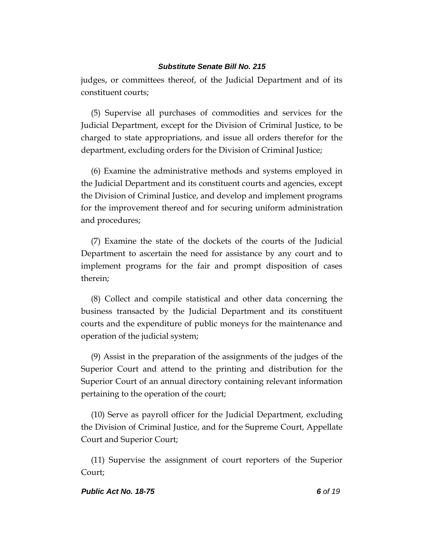judges, or committees thereof, of the Judicial Department and of its constituent courts;

(5) Supervise all purchases of commodities and services for the Judicial Department, except for the Division of Criminal Justice, to be charged to state appropriations, and issue all orders therefor for the department, excluding orders for the Division of Criminal Justice;

(6) Examine the administrative methods and systems employed in the Judicial Department and its constituent courts and agencies, except the Division of Criminal Justice, and develop and implement programs for the improvement thereof and for securing uniform administration and procedures;

(7) Examine the state of the dockets of the courts of the Judicial Department to ascertain the need for assistance by any court and to implement programs for the fair and prompt disposition of cases therein;

(8) Collect and compile statistical and other data concerning the business transacted by the Judicial Department and its constituent courts and the expenditure of public moneys for the maintenance and operation of the judicial system;

(9) Assist in the preparation of the assignments of the judges of the Superior Court and attend to the printing and distribution for the Superior Court of an annual directory containing relevant information pertaining to the operation of the court;

(10) Serve as payroll officer for the Judicial Department, excluding the Division of Criminal Justice, and for the Supreme Court, Appellate Court and Superior Court;

(11) Supervise the assignment of court reporters of the Superior Court;

### *Public Act No. 18-75 6 of 19*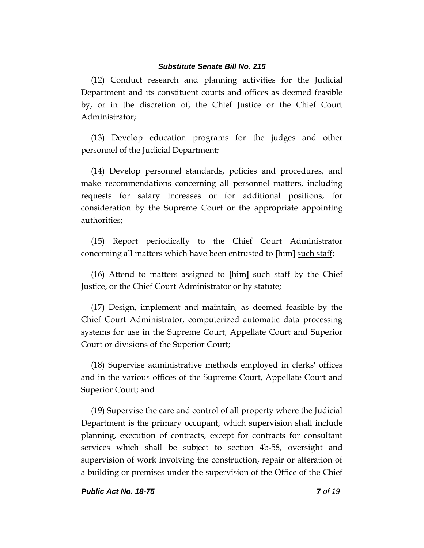(12) Conduct research and planning activities for the Judicial Department and its constituent courts and offices as deemed feasible by, or in the discretion of, the Chief Justice or the Chief Court Administrator;

(13) Develop education programs for the judges and other personnel of the Judicial Department;

(14) Develop personnel standards, policies and procedures, and make recommendations concerning all personnel matters, including requests for salary increases or for additional positions, for consideration by the Supreme Court or the appropriate appointing authorities;

(15) Report periodically to the Chief Court Administrator concerning all matters which have been entrusted to **[**him**]** such staff;

(16) Attend to matters assigned to **[**him**]** such staff by the Chief Justice, or the Chief Court Administrator or by statute;

(17) Design, implement and maintain, as deemed feasible by the Chief Court Administrator, computerized automatic data processing systems for use in the Supreme Court, Appellate Court and Superior Court or divisions of the Superior Court;

(18) Supervise administrative methods employed in clerks' offices and in the various offices of the Supreme Court, Appellate Court and Superior Court; and

(19) Supervise the care and control of all property where the Judicial Department is the primary occupant, which supervision shall include planning, execution of contracts, except for contracts for consultant services which shall be subject to section 4b-58, oversight and supervision of work involving the construction, repair or alteration of a building or premises under the supervision of the Office of the Chief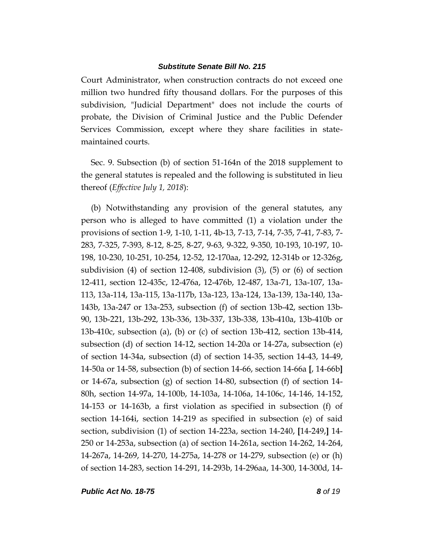Court Administrator, when construction contracts do not exceed one million two hundred fifty thousand dollars. For the purposes of this subdivision, "Judicial Department" does not include the courts of probate, the Division of Criminal Justice and the Public Defender Services Commission, except where they share facilities in statemaintained courts.

Sec. 9. Subsection (b) of section 51-164n of the 2018 supplement to the general statutes is repealed and the following is substituted in lieu thereof (*Effective July 1, 2018*):

(b) Notwithstanding any provision of the general statutes, any person who is alleged to have committed (1) a violation under the provisions of section 1-9, 1-10, 1-11, 4b-13, 7-13, 7-14, 7-35, 7-41, 7-83, 7- 283, 7-325, 7-393, 8-12, 8-25, 8-27, 9-63, 9-322, 9-350, 10-193, 10-197, 10- 198, 10-230, 10-251, 10-254, 12-52, 12-170aa, 12-292, 12-314b or 12-326g, subdivision (4) of section 12-408, subdivision  $(3)$ ,  $(5)$  or  $(6)$  of section 12-411, section 12-435c, 12-476a, 12-476b, 12-487, 13a-71, 13a-107, 13a-113, 13a-114, 13a-115, 13a-117b, 13a-123, 13a-124, 13a-139, 13a-140, 13a-143b, 13a-247 or 13a-253, subsection (f) of section 13b-42, section 13b-90, 13b-221, 13b-292, 13b-336, 13b-337, 13b-338, 13b-410a, 13b-410b or 13b-410c, subsection (a), (b) or (c) of section 13b-412, section 13b-414, subsection (d) of section 14-12, section 14-20a or 14-27a, subsection (e) of section 14-34a, subsection (d) of section 14-35, section 14-43, 14-49, 14-50a or 14-58, subsection (b) of section 14-66, section 14-66a **[**, 14-66b**]** or 14-67a, subsection (g) of section 14-80, subsection (f) of section 14-80h, section 14-97a, 14-100b, 14-103a, 14-106a, 14-106c, 14-146, 14-152, 14-153 or 14-163b, a first violation as specified in subsection (f) of section 14-164i, section 14-219 as specified in subsection (e) of said section, subdivision (1) of section 14-223a, section 14-240, **[**14-249,**]** 14- 250 or 14-253a, subsection (a) of section 14-261a, section 14-262, 14-264, 14-267a, 14-269, 14-270, 14-275a, 14-278 or 14-279, subsection (e) or (h) of section 14-283, section 14-291, 14-293b, 14-296aa, 14-300, 14-300d, 14-

*Public Act No. 18-75 8 of 19*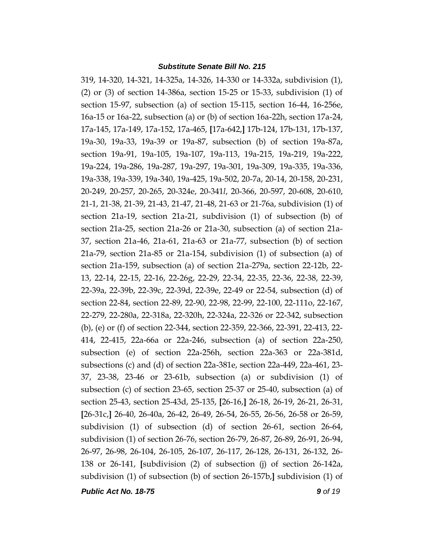319, 14-320, 14-321, 14-325a, 14-326, 14-330 or 14-332a, subdivision (1), (2) or (3) of section 14-386a, section 15-25 or 15-33, subdivision (1) of section 15-97, subsection (a) of section 15-115, section 16-44, 16-256e, 16a-15 or 16a-22, subsection (a) or (b) of section 16a-22h, section 17a-24, 17a-145, 17a-149, 17a-152, 17a-465, **[**17a-642,**]** 17b-124, 17b-131, 17b-137, 19a-30, 19a-33, 19a-39 or 19a-87, subsection (b) of section 19a-87a, section 19a-91, 19a-105, 19a-107, 19a-113, 19a-215, 19a-219, 19a-222, 19a-224, 19a-286, 19a-287, 19a-297, 19a-301, 19a-309, 19a-335, 19a-336, 19a-338, 19a-339, 19a-340, 19a-425, 19a-502, 20-7a, 20-14, 20-158, 20-231, 20-249, 20-257, 20-265, 20-324e, 20-341*l*, 20-366, 20-597, 20-608, 20-610, 21-1, 21-38, 21-39, 21-43, 21-47, 21-48, 21-63 or 21-76a, subdivision (1) of section 21a-19, section 21a-21, subdivision (1) of subsection (b) of section 21a-25, section 21a-26 or 21a-30, subsection (a) of section 21a-37, section 21a-46, 21a-61, 21a-63 or 21a-77, subsection (b) of section 21a-79, section 21a-85 or 21a-154, subdivision (1) of subsection (a) of section 21a-159, subsection (a) of section 21a-279a, section 22-12b, 22- 13, 22-14, 22-15, 22-16, 22-26g, 22-29, 22-34, 22-35, 22-36, 22-38, 22-39, 22-39a, 22-39b, 22-39c, 22-39d, 22-39e, 22-49 or 22-54, subsection (d) of section 22-84, section 22-89, 22-90, 22-98, 22-99, 22-100, 22-111o, 22-167, 22-279, 22-280a, 22-318a, 22-320h, 22-324a, 22-326 or 22-342, subsection (b), (e) or (f) of section 22-344, section 22-359, 22-366, 22-391, 22-413, 22- 414, 22-415, 22a-66a or 22a-246, subsection (a) of section 22a-250, subsection (e) of section 22a-256h, section 22a-363 or 22a-381d, subsections (c) and (d) of section 22a-381e, section 22a-449, 22a-461, 23- 37, 23-38, 23-46 or 23-61b, subsection (a) or subdivision (1) of subsection (c) of section 23-65, section 25-37 or 25-40, subsection (a) of section 25-43, section 25-43d, 25-135, **[**26-16,**]** 26-18, 26-19, 26-21, 26-31, **[**26-31c,**]** 26-40, 26-40a, 26-42, 26-49, 26-54, 26-55, 26-56, 26-58 or 26-59, subdivision (1) of subsection (d) of section 26-61, section 26-64, subdivision (1) of section 26-76, section 26-79, 26-87, 26-89, 26-91, 26-94, 26-97, 26-98, 26-104, 26-105, 26-107, 26-117, 26-128, 26-131, 26-132, 26- 138 or 26-141, **[**subdivision (2) of subsection (j) of section 26-142a, subdivision (1) of subsection (b) of section 26-157b,**]** subdivision (1) of

*Public Act No. 18-75 9 of 19*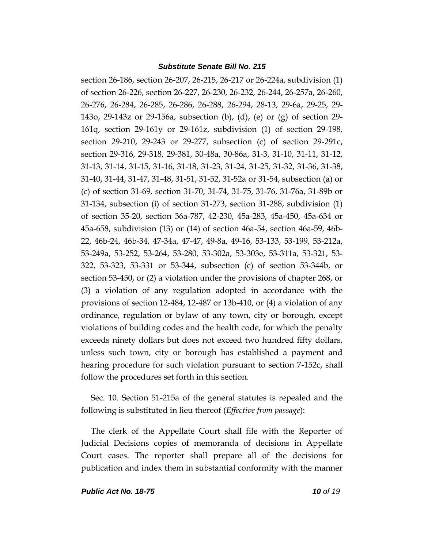section 26-186, section 26-207, 26-215, 26-217 or 26-224a, subdivision (1) of section 26-226, section 26-227, 26-230, 26-232, 26-244, 26-257a, 26-260, 26-276, 26-284, 26-285, 26-286, 26-288, 26-294, 28-13, 29-6a, 29-25, 29- 143o, 29-143z or 29-156a, subsection (b), (d), (e) or (g) of section 29- 161q, section 29-161y or 29-161z, subdivision (1) of section 29-198, section 29-210, 29-243 or 29-277, subsection (c) of section 29-291c, section 29-316, 29-318, 29-381, 30-48a, 30-86a, 31-3, 31-10, 31-11, 31-12, 31-13, 31-14, 31-15, 31-16, 31-18, 31-23, 31-24, 31-25, 31-32, 31-36, 31-38, 31-40, 31-44, 31-47, 31-48, 31-51, 31-52, 31-52a or 31-54, subsection (a) or (c) of section 31-69, section 31-70, 31-74, 31-75, 31-76, 31-76a, 31-89b or 31-134, subsection (i) of section 31-273, section 31-288, subdivision (1) of section 35-20, section 36a-787, 42-230, 45a-283, 45a-450, 45a-634 or 45a-658, subdivision (13) or (14) of section 46a-54, section 46a-59, 46b-22, 46b-24, 46b-34, 47-34a, 47-47, 49-8a, 49-16, 53-133, 53-199, 53-212a, 53-249a, 53-252, 53-264, 53-280, 53-302a, 53-303e, 53-311a, 53-321, 53- 322, 53-323, 53-331 or 53-344, subsection (c) of section 53-344b, or section 53-450, or (2) a violation under the provisions of chapter 268, or (3) a violation of any regulation adopted in accordance with the provisions of section 12-484, 12-487 or 13b-410, or (4) a violation of any ordinance, regulation or bylaw of any town, city or borough, except violations of building codes and the health code, for which the penalty exceeds ninety dollars but does not exceed two hundred fifty dollars, unless such town, city or borough has established a payment and hearing procedure for such violation pursuant to section 7-152c, shall follow the procedures set forth in this section.

Sec. 10. Section 51-215a of the general statutes is repealed and the following is substituted in lieu thereof (*Effective from passage*):

The clerk of the Appellate Court shall file with the Reporter of Judicial Decisions copies of memoranda of decisions in Appellate Court cases. The reporter shall prepare all of the decisions for publication and index them in substantial conformity with the manner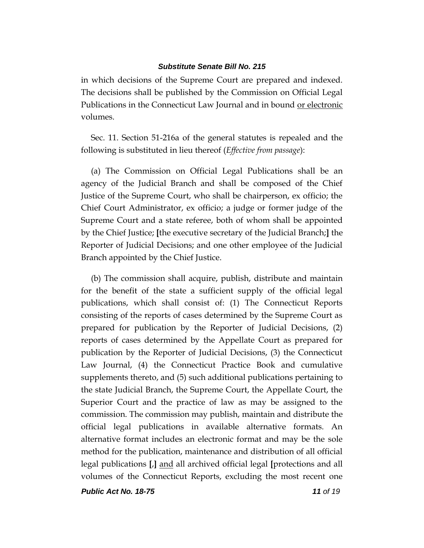in which decisions of the Supreme Court are prepared and indexed. The decisions shall be published by the Commission on Official Legal Publications in the Connecticut Law Journal and in bound or electronic volumes.

Sec. 11. Section 51-216a of the general statutes is repealed and the following is substituted in lieu thereof (*Effective from passage*):

(a) The Commission on Official Legal Publications shall be an agency of the Judicial Branch and shall be composed of the Chief Justice of the Supreme Court, who shall be chairperson, ex officio; the Chief Court Administrator, ex officio; a judge or former judge of the Supreme Court and a state referee, both of whom shall be appointed by the Chief Justice; **[**the executive secretary of the Judicial Branch;**]** the Reporter of Judicial Decisions; and one other employee of the Judicial Branch appointed by the Chief Justice.

(b) The commission shall acquire, publish, distribute and maintain for the benefit of the state a sufficient supply of the official legal publications, which shall consist of: (1) The Connecticut Reports consisting of the reports of cases determined by the Supreme Court as prepared for publication by the Reporter of Judicial Decisions, (2) reports of cases determined by the Appellate Court as prepared for publication by the Reporter of Judicial Decisions, (3) the Connecticut Law Journal, (4) the Connecticut Practice Book and cumulative supplements thereto, and (5) such additional publications pertaining to the state Judicial Branch, the Supreme Court, the Appellate Court, the Superior Court and the practice of law as may be assigned to the commission. The commission may publish, maintain and distribute the official legal publications in available alternative formats. An alternative format includes an electronic format and may be the sole method for the publication, maintenance and distribution of all official legal publications **[**,**]** and all archived official legal **[**protections and all volumes of the Connecticut Reports, excluding the most recent one

*Public Act No. 18-75 11 of 19*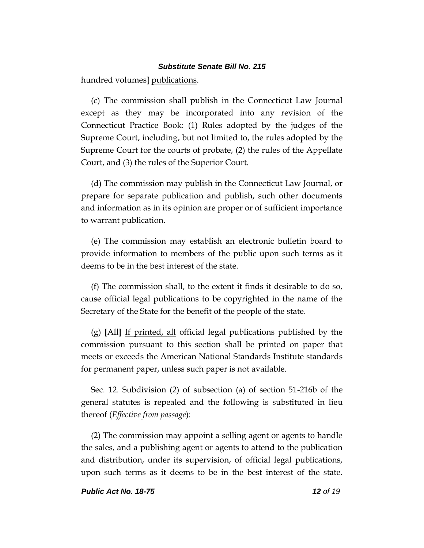hundred volumes**]** publications.

(c) The commission shall publish in the Connecticut Law Journal except as they may be incorporated into any revision of the Connecticut Practice Book: (1) Rules adopted by the judges of the Supreme Court, including, but not limited to, the rules adopted by the Supreme Court for the courts of probate, (2) the rules of the Appellate Court, and (3) the rules of the Superior Court.

(d) The commission may publish in the Connecticut Law Journal, or prepare for separate publication and publish, such other documents and information as in its opinion are proper or of sufficient importance to warrant publication.

(e) The commission may establish an electronic bulletin board to provide information to members of the public upon such terms as it deems to be in the best interest of the state.

(f) The commission shall, to the extent it finds it desirable to do so, cause official legal publications to be copyrighted in the name of the Secretary of the State for the benefit of the people of the state.

(g) **[**All**]** If printed, all official legal publications published by the commission pursuant to this section shall be printed on paper that meets or exceeds the American National Standards Institute standards for permanent paper, unless such paper is not available.

Sec. 12. Subdivision (2) of subsection (a) of section 51-216b of the general statutes is repealed and the following is substituted in lieu thereof (*Effective from passage*):

(2) The commission may appoint a selling agent or agents to handle the sales, and a publishing agent or agents to attend to the publication and distribution, under its supervision, of official legal publications, upon such terms as it deems to be in the best interest of the state.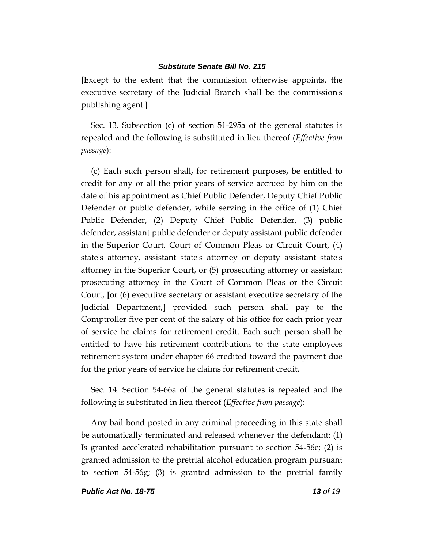**[**Except to the extent that the commission otherwise appoints, the executive secretary of the Judicial Branch shall be the commission's publishing agent.**]**

Sec. 13. Subsection (c) of section 51-295a of the general statutes is repealed and the following is substituted in lieu thereof (*Effective from passage*):

(c) Each such person shall, for retirement purposes, be entitled to credit for any or all the prior years of service accrued by him on the date of his appointment as Chief Public Defender, Deputy Chief Public Defender or public defender, while serving in the office of (1) Chief Public Defender, (2) Deputy Chief Public Defender, (3) public defender, assistant public defender or deputy assistant public defender in the Superior Court, Court of Common Pleas or Circuit Court, (4) state's attorney, assistant state's attorney or deputy assistant state's attorney in the Superior Court,  $or$  (5) prosecuting attorney or assistant</u> prosecuting attorney in the Court of Common Pleas or the Circuit Court, **[**or (6) executive secretary or assistant executive secretary of the Judicial Department,**]** provided such person shall pay to the Comptroller five per cent of the salary of his office for each prior year of service he claims for retirement credit. Each such person shall be entitled to have his retirement contributions to the state employees retirement system under chapter 66 credited toward the payment due for the prior years of service he claims for retirement credit.

Sec. 14. Section 54-66a of the general statutes is repealed and the following is substituted in lieu thereof (*Effective from passage*):

Any bail bond posted in any criminal proceeding in this state shall be automatically terminated and released whenever the defendant: (1) Is granted accelerated rehabilitation pursuant to section 54-56e; (2) is granted admission to the pretrial alcohol education program pursuant to section 54-56g; (3) is granted admission to the pretrial family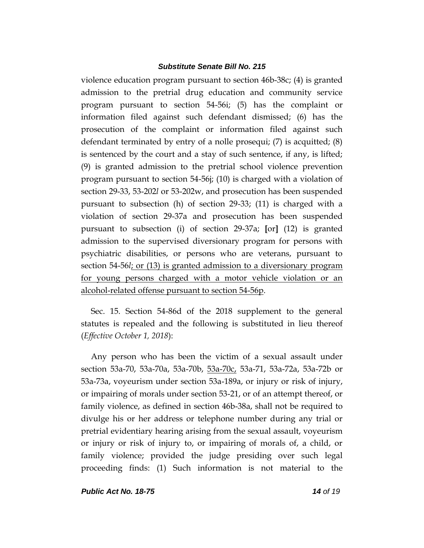violence education program pursuant to section 46b-38c; (4) is granted admission to the pretrial drug education and community service program pursuant to section 54-56i; (5) has the complaint or information filed against such defendant dismissed; (6) has the prosecution of the complaint or information filed against such defendant terminated by entry of a nolle prosequi; (7) is acquitted; (8) is sentenced by the court and a stay of such sentence, if any, is lifted; (9) is granted admission to the pretrial school violence prevention program pursuant to section 54-56j; (10) is charged with a violation of section 29-33, 53-202*l* or 53-202w, and prosecution has been suspended pursuant to subsection (h) of section 29-33; (11) is charged with a violation of section 29-37a and prosecution has been suspended pursuant to subsection (i) of section 29-37a; **[**or**]** (12) is granted admission to the supervised diversionary program for persons with psychiatric disabilities, or persons who are veterans, pursuant to section 54-56*l*; or (13) is granted admission to a diversionary program for young persons charged with a motor vehicle violation or an alcohol-related offense pursuant to section 54-56p.

Sec. 15. Section 54-86d of the 2018 supplement to the general statutes is repealed and the following is substituted in lieu thereof (*Effective October 1, 2018*):

Any person who has been the victim of a sexual assault under section 53a-70, 53a-70a, 53a-70b, 53a-70c, 53a-71, 53a-72a, 53a-72b or 53a-73a, voyeurism under section 53a-189a, or injury or risk of injury, or impairing of morals under section 53-21, or of an attempt thereof, or family violence, as defined in section 46b-38a, shall not be required to divulge his or her address or telephone number during any trial or pretrial evidentiary hearing arising from the sexual assault, voyeurism or injury or risk of injury to, or impairing of morals of, a child, or family violence; provided the judge presiding over such legal proceeding finds: (1) Such information is not material to the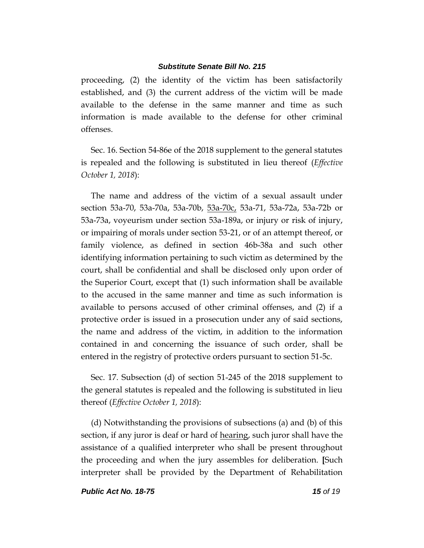proceeding, (2) the identity of the victim has been satisfactorily established, and (3) the current address of the victim will be made available to the defense in the same manner and time as such information is made available to the defense for other criminal offenses.

Sec. 16. Section 54-86e of the 2018 supplement to the general statutes is repealed and the following is substituted in lieu thereof (*Effective October 1, 2018*):

The name and address of the victim of a sexual assault under section 53a-70, 53a-70a, 53a-70b, 53a-70c, 53a-71, 53a-72a, 53a-72b or 53a-73a, voyeurism under section 53a-189a, or injury or risk of injury, or impairing of morals under section 53-21, or of an attempt thereof, or family violence, as defined in section 46b-38a and such other identifying information pertaining to such victim as determined by the court, shall be confidential and shall be disclosed only upon order of the Superior Court, except that (1) such information shall be available to the accused in the same manner and time as such information is available to persons accused of other criminal offenses, and (2) if a protective order is issued in a prosecution under any of said sections, the name and address of the victim, in addition to the information contained in and concerning the issuance of such order, shall be entered in the registry of protective orders pursuant to section 51-5c.

Sec. 17. Subsection (d) of section 51-245 of the 2018 supplement to the general statutes is repealed and the following is substituted in lieu thereof (*Effective October 1, 2018*):

(d) Notwithstanding the provisions of subsections (a) and (b) of this section, if any juror is deaf or hard of hearing, such juror shall have the assistance of a qualified interpreter who shall be present throughout the proceeding and when the jury assembles for deliberation. **[**Such interpreter shall be provided by the Department of Rehabilitation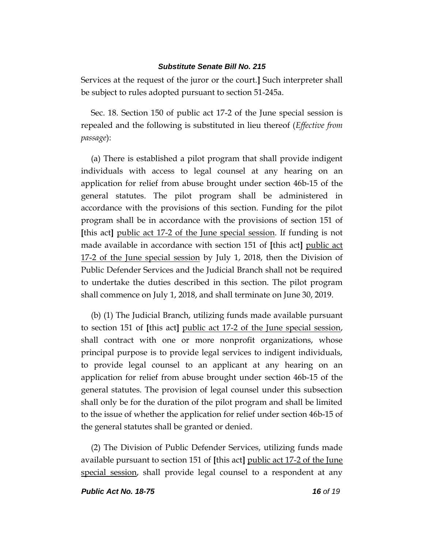Services at the request of the juror or the court.**]** Such interpreter shall be subject to rules adopted pursuant to section 51-245a.

Sec. 18. Section 150 of public act 17-2 of the June special session is repealed and the following is substituted in lieu thereof (*Effective from passage*):

(a) There is established a pilot program that shall provide indigent individuals with access to legal counsel at any hearing on an application for relief from abuse brought under section 46b-15 of the general statutes. The pilot program shall be administered in accordance with the provisions of this section. Funding for the pilot program shall be in accordance with the provisions of section 151 of **[**this act**]** public act 17-2 of the June special session. If funding is not made available in accordance with section 151 of **[**this act**]** public act 17-2 of the June special session by July 1, 2018, then the Division of Public Defender Services and the Judicial Branch shall not be required to undertake the duties described in this section. The pilot program shall commence on July 1, 2018, and shall terminate on June 30, 2019.

(b) (1) The Judicial Branch, utilizing funds made available pursuant to section 151 of **[**this act**]** public act 17-2 of the June special session, shall contract with one or more nonprofit organizations, whose principal purpose is to provide legal services to indigent individuals, to provide legal counsel to an applicant at any hearing on an application for relief from abuse brought under section 46b-15 of the general statutes. The provision of legal counsel under this subsection shall only be for the duration of the pilot program and shall be limited to the issue of whether the application for relief under section 46b-15 of the general statutes shall be granted or denied.

(2) The Division of Public Defender Services, utilizing funds made available pursuant to section 151 of **[**this act**]** public act 17-2 of the June special session, shall provide legal counsel to a respondent at any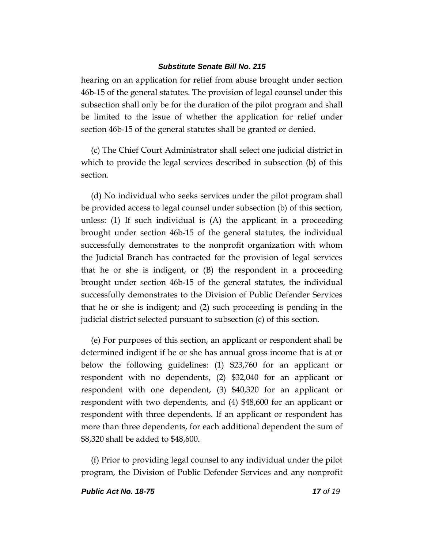hearing on an application for relief from abuse brought under section 46b-15 of the general statutes. The provision of legal counsel under this subsection shall only be for the duration of the pilot program and shall be limited to the issue of whether the application for relief under section 46b-15 of the general statutes shall be granted or denied.

(c) The Chief Court Administrator shall select one judicial district in which to provide the legal services described in subsection (b) of this section.

(d) No individual who seeks services under the pilot program shall be provided access to legal counsel under subsection (b) of this section, unless: (1) If such individual is (A) the applicant in a proceeding brought under section 46b-15 of the general statutes, the individual successfully demonstrates to the nonprofit organization with whom the Judicial Branch has contracted for the provision of legal services that he or she is indigent, or (B) the respondent in a proceeding brought under section 46b-15 of the general statutes, the individual successfully demonstrates to the Division of Public Defender Services that he or she is indigent; and (2) such proceeding is pending in the judicial district selected pursuant to subsection (c) of this section.

(e) For purposes of this section, an applicant or respondent shall be determined indigent if he or she has annual gross income that is at or below the following guidelines: (1) \$23,760 for an applicant or respondent with no dependents, (2) \$32,040 for an applicant or respondent with one dependent, (3) \$40,320 for an applicant or respondent with two dependents, and (4) \$48,600 for an applicant or respondent with three dependents. If an applicant or respondent has more than three dependents, for each additional dependent the sum of \$8,320 shall be added to \$48,600.

(f) Prior to providing legal counsel to any individual under the pilot program, the Division of Public Defender Services and any nonprofit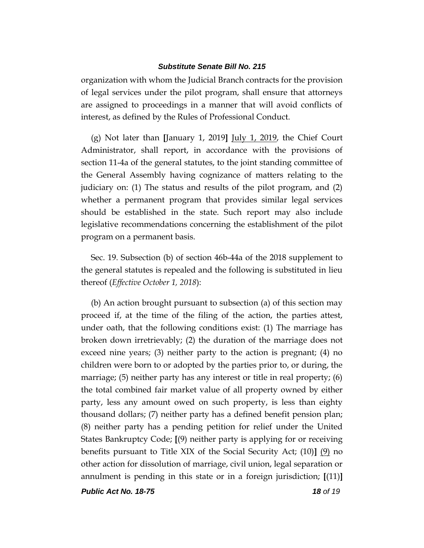organization with whom the Judicial Branch contracts for the provision of legal services under the pilot program, shall ensure that attorneys are assigned to proceedings in a manner that will avoid conflicts of interest, as defined by the Rules of Professional Conduct.

(g) Not later than **[**January 1, 2019**]** July 1, 2019, the Chief Court Administrator, shall report, in accordance with the provisions of section 11-4a of the general statutes, to the joint standing committee of the General Assembly having cognizance of matters relating to the judiciary on: (1) The status and results of the pilot program, and (2) whether a permanent program that provides similar legal services should be established in the state. Such report may also include legislative recommendations concerning the establishment of the pilot program on a permanent basis.

Sec. 19. Subsection (b) of section 46b-44a of the 2018 supplement to the general statutes is repealed and the following is substituted in lieu thereof (*Effective October 1, 2018*):

(b) An action brought pursuant to subsection (a) of this section may proceed if, at the time of the filing of the action, the parties attest, under oath, that the following conditions exist: (1) The marriage has broken down irretrievably; (2) the duration of the marriage does not exceed nine years; (3) neither party to the action is pregnant; (4) no children were born to or adopted by the parties prior to, or during, the marriage; (5) neither party has any interest or title in real property; (6) the total combined fair market value of all property owned by either party, less any amount owed on such property, is less than eighty thousand dollars; (7) neither party has a defined benefit pension plan; (8) neither party has a pending petition for relief under the United States Bankruptcy Code; **[**(9) neither party is applying for or receiving benefits pursuant to Title XIX of the Social Security Act; (10)**]** (9) no other action for dissolution of marriage, civil union, legal separation or annulment is pending in this state or in a foreign jurisdiction; **[**(11)**]**

*Public Act No. 18-75 18 of 19*